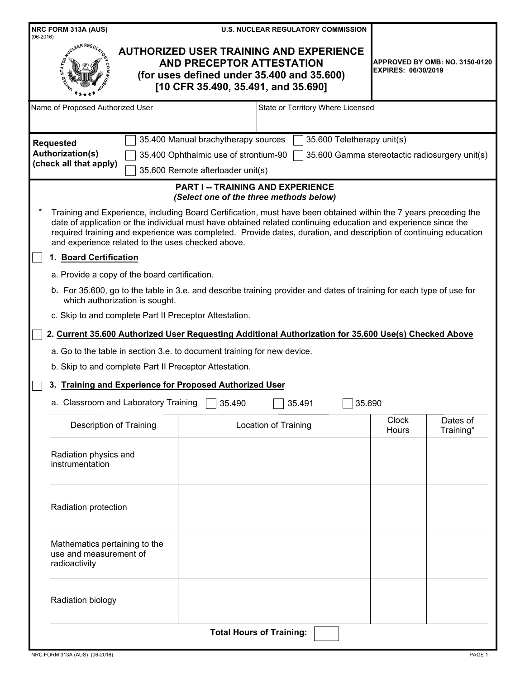| NRC FORM 313A (AUS)<br>$(06-2016)$                                       | <b>U.S. NUCLEAR REGULATORY COMMISSION</b>                                                                                                                                                                                                                                                                                                              |                                                                     |
|--------------------------------------------------------------------------|--------------------------------------------------------------------------------------------------------------------------------------------------------------------------------------------------------------------------------------------------------------------------------------------------------------------------------------------------------|---------------------------------------------------------------------|
|                                                                          | <b>AUTHORIZED USER TRAINING AND EXPERIENCE</b><br>AND PRECEPTOR ATTESTATION<br>(for uses defined under 35.400 and 35.600)<br>[10 CFR 35.490, 35.491, and 35.690]                                                                                                                                                                                       | <b>APPROVED BY OMB: NO. 3150-0120</b><br><b>EXPIRES: 06/30/2019</b> |
| Name of Proposed Authorized User                                         | State or Territory Where Licensed                                                                                                                                                                                                                                                                                                                      |                                                                     |
| <b>Requested</b>                                                         | 35.400 Manual brachytherapy sources                                                                                                                                                                                                                                                                                                                    | 35.600 Teletherapy unit(s)                                          |
| <b>Authorization(s)</b><br>(check all that apply)                        | 35.400 Ophthalmic use of strontium-90                                                                                                                                                                                                                                                                                                                  | 35.600 Gamma stereotactic radiosurgery unit(s)                      |
|                                                                          | 35.600 Remote afterloader unit(s)                                                                                                                                                                                                                                                                                                                      |                                                                     |
|                                                                          | <b>PART I -- TRAINING AND EXPERIENCE</b><br>(Select one of the three methods below)                                                                                                                                                                                                                                                                    |                                                                     |
| and experience related to the uses checked above.                        | Training and Experience, including Board Certification, must have been obtained within the 7 years preceding the<br>date of application or the individual must have obtained related continuing education and experience since the<br>required training and experience was completed. Provide dates, duration, and description of continuing education |                                                                     |
| 1. Board Certification                                                   |                                                                                                                                                                                                                                                                                                                                                        |                                                                     |
| a. Provide a copy of the board certification.                            |                                                                                                                                                                                                                                                                                                                                                        |                                                                     |
| which authorization is sought.                                           | b. For 35.600, go to the table in 3.e. and describe training provider and dates of training for each type of use for                                                                                                                                                                                                                                   |                                                                     |
| c. Skip to and complete Part II Preceptor Attestation.                   |                                                                                                                                                                                                                                                                                                                                                        |                                                                     |
|                                                                          | 2. Current 35.600 Authorized User Requesting Additional Authorization for 35.600 Use(s) Checked Above                                                                                                                                                                                                                                                  |                                                                     |
|                                                                          | a. Go to the table in section 3.e. to document training for new device.                                                                                                                                                                                                                                                                                |                                                                     |
| b. Skip to and complete Part II Preceptor Attestation.                   |                                                                                                                                                                                                                                                                                                                                                        |                                                                     |
| <b>Training and Experience for Proposed Authorized User</b><br>3.        |                                                                                                                                                                                                                                                                                                                                                        |                                                                     |
| a. Classroom and Laboratory Training                                     | 35.490<br>35.491                                                                                                                                                                                                                                                                                                                                       | 35.690                                                              |
| <b>Description of Training</b>                                           | <b>Location of Training</b>                                                                                                                                                                                                                                                                                                                            | <b>Clock</b><br>Dates of<br>Hours<br>Training*                      |
| Radiation physics and<br>instrumentation                                 |                                                                                                                                                                                                                                                                                                                                                        |                                                                     |
| Radiation protection                                                     |                                                                                                                                                                                                                                                                                                                                                        |                                                                     |
| Mathematics pertaining to the<br>use and measurement of<br>radioactivity |                                                                                                                                                                                                                                                                                                                                                        |                                                                     |
| Radiation biology                                                        |                                                                                                                                                                                                                                                                                                                                                        |                                                                     |
|                                                                          | <b>Total Hours of Training:</b>                                                                                                                                                                                                                                                                                                                        |                                                                     |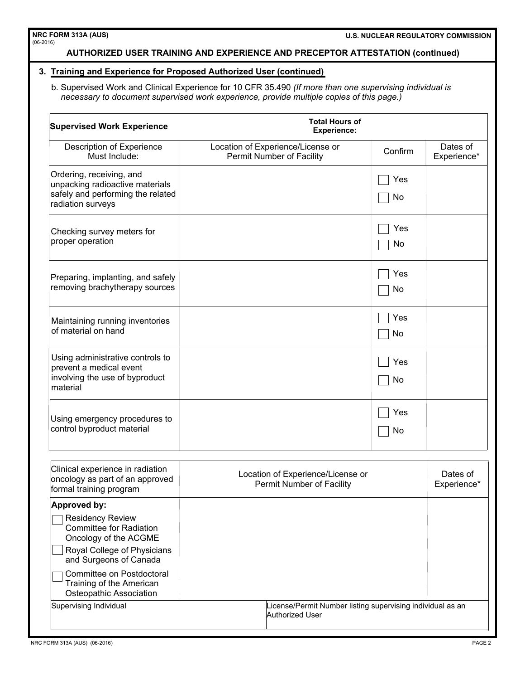### **AUTHORIZED USER TRAINING AND EXPERIENCE AND PRECEPTOR ATTESTATION (continued)**

#### **3. Training and Experience for Proposed Authorized User (continued)**

b. Supervised Work and Clinical Experience for 10 CFR 35.490 *(If more than one supervising individual is necessary to document supervised work experience, provide multiple copies of this page.)*

| <b>Supervised Work Experience</b>                                                                                     | <b>Total Hours of</b><br><b>Experience:</b>                    |           |                         |  |
|-----------------------------------------------------------------------------------------------------------------------|----------------------------------------------------------------|-----------|-------------------------|--|
| Description of Experience<br>Must Include:                                                                            | Location of Experience/License or<br>Permit Number of Facility | Confirm   | Dates of<br>Experience* |  |
| Ordering, receiving, and<br>unpacking radioactive materials<br>safely and performing the related<br>radiation surveys |                                                                | Yes<br>No |                         |  |
| Checking survey meters for<br>proper operation                                                                        |                                                                | Yes<br>No |                         |  |
| Preparing, implanting, and safely<br>removing brachytherapy sources                                                   |                                                                | Yes<br>No |                         |  |
| Maintaining running inventories<br>of material on hand                                                                |                                                                | Yes<br>No |                         |  |
| Using administrative controls to<br>prevent a medical event<br>involving the use of byproduct<br>material             |                                                                | Yes<br>No |                         |  |
| Using emergency procedures to<br>control byproduct material                                                           |                                                                | Yes<br>No |                         |  |
| Clinical experience in radiation<br>oncology as part of an approved<br>formal training program                        | Location of Experience/License or<br>Permit Number of Facility |           | Dates of<br>Experience* |  |
| Approved by:                                                                                                          |                                                                |           |                         |  |
| <b>Residency Review</b><br><b>Committee for Radiation</b><br>Oncology of the ACGME<br>Royal College of Physicians     |                                                                |           |                         |  |
| and Surgeons of Canada<br>Committee on Postdoctoral<br>Training of the American<br>Osteopathic Association            |                                                                |           |                         |  |
| Supervising Individual<br>License/Permit Number listing supervising individual as an<br>Authorized User               |                                                                |           |                         |  |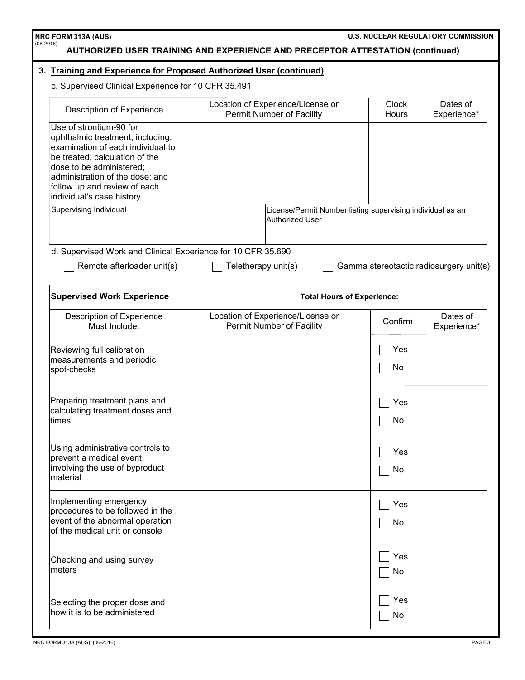| NRC FORM 313A (AUS)<br>$(06-2016)$<br><b>AUTHORIZED USER TRAINING AND EXPERIENCE AND PRECEPTOR ATTESTATION (continued)</b>                                                                                                                                     |                                                                       |                                                                               | <b>U.S. NUCLEAR REGULATORY COMMISSION</b> |                         |
|----------------------------------------------------------------------------------------------------------------------------------------------------------------------------------------------------------------------------------------------------------------|-----------------------------------------------------------------------|-------------------------------------------------------------------------------|-------------------------------------------|-------------------------|
| 3. Training and Experience for Proposed Authorized User (continued)                                                                                                                                                                                            |                                                                       |                                                                               |                                           |                         |
| c. Supervised Clinical Experience for 10 CFR 35.491                                                                                                                                                                                                            |                                                                       |                                                                               |                                           |                         |
| Description of Experience                                                                                                                                                                                                                                      | Location of Experience/License or<br><b>Permit Number of Facility</b> |                                                                               | <b>Clock</b><br>Hours                     | Dates of<br>Experience* |
| Use of strontium-90 for<br>ophthalmic treatment, including:<br>examination of each individual to<br>be treated; calculation of the<br>dose to be administered;<br>administration of the dose; and<br>follow up and review of each<br>individual's case history |                                                                       |                                                                               |                                           |                         |
| Supervising Individual                                                                                                                                                                                                                                         |                                                                       | License/Permit Number listing supervising individual as an<br>Authorized User |                                           |                         |
| d. Supervised Work and Clinical Experience for 10 CFR 35.690                                                                                                                                                                                                   |                                                                       |                                                                               |                                           |                         |
| Remote afterloader unit(s)                                                                                                                                                                                                                                     | Teletherapy unit(s)                                                   |                                                                               | Gamma stereotactic radiosurgery unit(s)   |                         |
| <b>Supervised Work Experience</b>                                                                                                                                                                                                                              |                                                                       | <b>Total Hours of Experience:</b>                                             |                                           |                         |
| Description of Experience<br>Must Include:                                                                                                                                                                                                                     | Location of Experience/License or<br>Permit Number of Facility        |                                                                               | Confirm                                   | Dates of<br>Experience* |
| Reviewing full calibration<br>measurements and periodic<br>spot-checks                                                                                                                                                                                         |                                                                       |                                                                               | Yes<br>No                                 |                         |
| Preparing treatment plans and<br>calculating treatment doses and<br>ltimes                                                                                                                                                                                     |                                                                       |                                                                               | Yes<br>No                                 |                         |
| Using administrative controls to<br>prevent a medical event<br>involving the use of byproduct<br>material                                                                                                                                                      |                                                                       |                                                                               | Yes<br>No                                 |                         |
| Implementing emergency<br>procedures to be followed in the<br>event of the abnormal operation<br>of the medical unit or console                                                                                                                                |                                                                       |                                                                               | Yes<br>No                                 |                         |
| Checking and using survey<br>meters                                                                                                                                                                                                                            |                                                                       |                                                                               | Yes<br>No                                 |                         |
| Selecting the proper dose and<br>how it is to be administered                                                                                                                                                                                                  |                                                                       |                                                                               | Yes<br>No                                 |                         |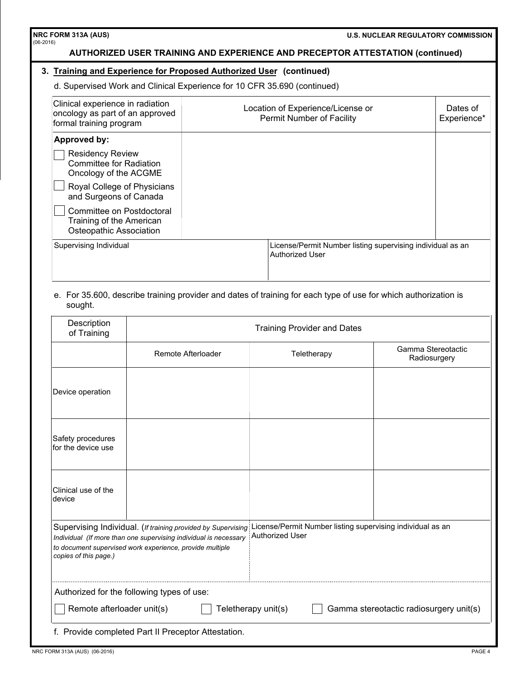## **U.S. NUCLEAR REGULATORY COMMISSION**

# **AUTHORIZED USER TRAINING AND EXPERIENCE AND PRECEPTOR ATTESTATION (continued)**

### **3. Training and Experience for Proposed Authorized User (continued)**

d. Supervised Work and Clinical Experience for 10 CFR 35.690 (continued)

| Location of Experience/License or<br><b>Permit Number of Facility</b> | Dates of<br>Experience*                                    |
|-----------------------------------------------------------------------|------------------------------------------------------------|
|                                                                       |                                                            |
|                                                                       |                                                            |
|                                                                       |                                                            |
|                                                                       |                                                            |
| <b>Authorized User</b>                                                |                                                            |
|                                                                       | License/Permit Number listing supervising individual as an |

### e. For 35.600, describe training provider and dates of training for each type of use for which authorization is sought.

| Description<br>of Training                                                                                                                                                                                                                                                                             | <b>Training Provider and Dates</b> |             |                                    |  |
|--------------------------------------------------------------------------------------------------------------------------------------------------------------------------------------------------------------------------------------------------------------------------------------------------------|------------------------------------|-------------|------------------------------------|--|
|                                                                                                                                                                                                                                                                                                        | Remote Afterloader                 | Teletherapy | Gamma Stereotactic<br>Radiosurgery |  |
| Device operation                                                                                                                                                                                                                                                                                       |                                    |             |                                    |  |
| Safety procedures<br>for the device use                                                                                                                                                                                                                                                                |                                    |             |                                    |  |
| Clinical use of the<br>device                                                                                                                                                                                                                                                                          |                                    |             |                                    |  |
| License/Permit Number listing supervising individual as an<br>Supervising Individual. (If training provided by Supervising<br>Authorized User<br>Individual (If more than one supervising individual is necessary<br>to document supervised work experience, provide multiple<br>copies of this page.) |                                    |             |                                    |  |
| Authorized for the following types of use:                                                                                                                                                                                                                                                             |                                    |             |                                    |  |
| Remote afterloader unit(s)<br>Gamma stereotactic radiosurgery unit(s)<br>Teletherapy unit(s)                                                                                                                                                                                                           |                                    |             |                                    |  |
| f. Provide completed Part II Preceptor Attestation.                                                                                                                                                                                                                                                    |                                    |             |                                    |  |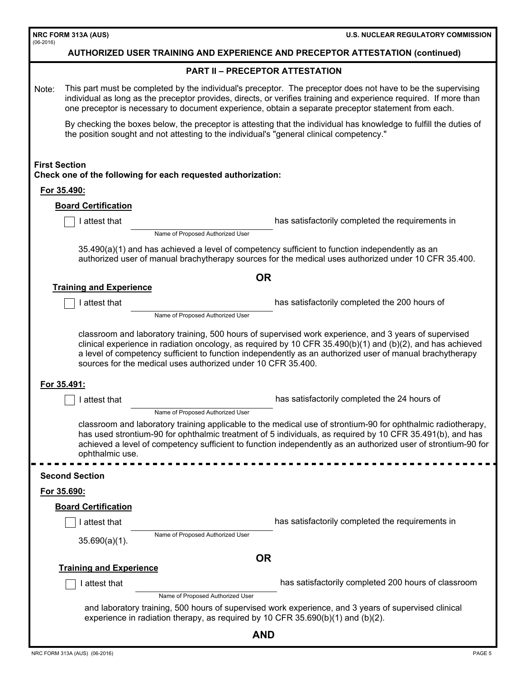| NRC FORM 313A (AUS)<br>$(06-2016)$                                                                                                                                                                                                                                                                                                                            | <b>U.S. NUCLEAR REGULATORY COMMISSION</b>                                                                                                                                                                                                                                                                                                |  |  |
|---------------------------------------------------------------------------------------------------------------------------------------------------------------------------------------------------------------------------------------------------------------------------------------------------------------------------------------------------------------|------------------------------------------------------------------------------------------------------------------------------------------------------------------------------------------------------------------------------------------------------------------------------------------------------------------------------------------|--|--|
| <b>AUTHORIZED USER TRAINING AND EXPERIENCE AND PRECEPTOR ATTESTATION (continued)</b>                                                                                                                                                                                                                                                                          |                                                                                                                                                                                                                                                                                                                                          |  |  |
|                                                                                                                                                                                                                                                                                                                                                               | <b>PART II - PRECEPTOR ATTESTATION</b>                                                                                                                                                                                                                                                                                                   |  |  |
| Note:                                                                                                                                                                                                                                                                                                                                                         | This part must be completed by the individual's preceptor. The preceptor does not have to be the supervising<br>individual as long as the preceptor provides, directs, or verifies training and experience required. If more than<br>one preceptor is necessary to document experience, obtain a separate preceptor statement from each. |  |  |
|                                                                                                                                                                                                                                                                                                                                                               | By checking the boxes below, the preceptor is attesting that the individual has knowledge to fulfill the duties of<br>the position sought and not attesting to the individual's "general clinical competency."                                                                                                                           |  |  |
| <b>First Section</b><br>Check one of the following for each requested authorization:                                                                                                                                                                                                                                                                          |                                                                                                                                                                                                                                                                                                                                          |  |  |
| For 35.490:                                                                                                                                                                                                                                                                                                                                                   |                                                                                                                                                                                                                                                                                                                                          |  |  |
| <b>Board Certification</b>                                                                                                                                                                                                                                                                                                                                    |                                                                                                                                                                                                                                                                                                                                          |  |  |
| I attest that                                                                                                                                                                                                                                                                                                                                                 | has satisfactorily completed the requirements in<br>Name of Proposed Authorized User                                                                                                                                                                                                                                                     |  |  |
| 35.490(a)(1) and has achieved a level of competency sufficient to function independently as an<br>authorized user of manual brachytherapy sources for the medical uses authorized under 10 CFR 35.400.                                                                                                                                                        |                                                                                                                                                                                                                                                                                                                                          |  |  |
|                                                                                                                                                                                                                                                                                                                                                               | <b>OR</b>                                                                                                                                                                                                                                                                                                                                |  |  |
| <b>Training and Experience</b>                                                                                                                                                                                                                                                                                                                                |                                                                                                                                                                                                                                                                                                                                          |  |  |
| attest that                                                                                                                                                                                                                                                                                                                                                   | has satisfactorily completed the 200 hours of<br>Name of Proposed Authorized User                                                                                                                                                                                                                                                        |  |  |
| clinical experience in radiation oncology, as required by 10 CFR $35.490(b)(1)$ and (b)(2), and has achieved<br>a level of competency sufficient to function independently as an authorized user of manual brachytherapy<br>sources for the medical uses authorized under 10 CFR 35.400.                                                                      |                                                                                                                                                                                                                                                                                                                                          |  |  |
| For 35.491:<br>attest that                                                                                                                                                                                                                                                                                                                                    | has satisfactorily completed the 24 hours of                                                                                                                                                                                                                                                                                             |  |  |
|                                                                                                                                                                                                                                                                                                                                                               | Name of Proposed Authorized User                                                                                                                                                                                                                                                                                                         |  |  |
| classroom and laboratory training applicable to the medical use of strontium-90 for ophthalmic radiotherapy,<br>has used strontium-90 for ophthalmic treatment of 5 individuals, as required by 10 CFR 35.491(b), and has<br>achieved a level of competency sufficient to function independently as an authorized user of strontium-90 for<br>ophthalmic use. |                                                                                                                                                                                                                                                                                                                                          |  |  |
| <b>Second Section</b>                                                                                                                                                                                                                                                                                                                                         |                                                                                                                                                                                                                                                                                                                                          |  |  |
| For 35.690:                                                                                                                                                                                                                                                                                                                                                   |                                                                                                                                                                                                                                                                                                                                          |  |  |
| <b>Board Certification</b>                                                                                                                                                                                                                                                                                                                                    |                                                                                                                                                                                                                                                                                                                                          |  |  |
| I attest that                                                                                                                                                                                                                                                                                                                                                 | has satisfactorily completed the requirements in                                                                                                                                                                                                                                                                                         |  |  |
| $35.690(a)(1)$ .                                                                                                                                                                                                                                                                                                                                              | Name of Proposed Authorized User                                                                                                                                                                                                                                                                                                         |  |  |
| <b>OR</b>                                                                                                                                                                                                                                                                                                                                                     |                                                                                                                                                                                                                                                                                                                                          |  |  |
| <b>Training and Experience</b>                                                                                                                                                                                                                                                                                                                                |                                                                                                                                                                                                                                                                                                                                          |  |  |
| I attest that                                                                                                                                                                                                                                                                                                                                                 | has satisfactorily completed 200 hours of classroom<br>Name of Proposed Authorized User                                                                                                                                                                                                                                                  |  |  |
| and laboratory training, 500 hours of supervised work experience, and 3 years of supervised clinical<br>experience in radiation therapy, as required by 10 CFR $35.690(b)(1)$ and $(b)(2)$ .                                                                                                                                                                  |                                                                                                                                                                                                                                                                                                                                          |  |  |
| <b>AND</b>                                                                                                                                                                                                                                                                                                                                                    |                                                                                                                                                                                                                                                                                                                                          |  |  |